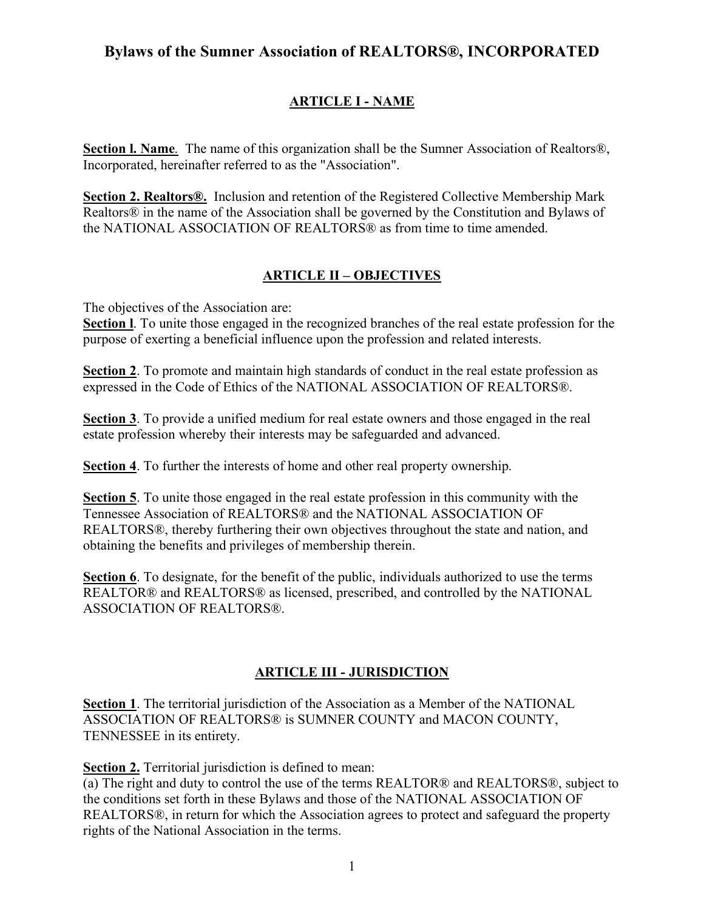# **Bylaws of the Sumner Association of REALTORS®, INCORPORATED**

# **ARTICLE I - NAME**

**Section l. Name**. The name of this organization shall be the Sumner Association of Realtors®, Incorporated, hereinafter referred to as the "Association".

**Section 2. Realtors®.** Inclusion and retention of the Registered Collective Membership Mark Realtors® in the name of the Association shall be governed by the Constitution and Bylaws of the NATIONAL ASSOCIATION OF REALTORS® as from time to time amended.

# **ARTICLE II – OBJECTIVES**

The objectives of the Association are:

**Section l**. To unite those engaged in the recognized branches of the real estate profession for the purpose of exerting a beneficial influence upon the profession and related interests.

**Section 2**. To promote and maintain high standards of conduct in the real estate profession as expressed in the Code of Ethics of the NATIONAL ASSOCIATION OF REALTORS®.

**Section 3**. To provide a unified medium for real estate owners and those engaged in the real estate profession whereby their interests may be safeguarded and advanced.

**Section 4**. To further the interests of home and other real property ownership.

**Section 5**. To unite those engaged in the real estate profession in this community with the Tennessee Association of REALTORS® and the NATIONAL ASSOCIATION OF REALTORS®, thereby furthering their own objectives throughout the state and nation, and obtaining the benefits and privileges of membership therein.

**Section 6**. To designate, for the benefit of the public, individuals authorized to use the terms REALTOR® and REALTORS® as licensed, prescribed, and controlled by the NATIONAL ASSOCIATION OF REALTORS®.

# **ARTICLE III - JURISDICTION**

**Section 1**. The territorial jurisdiction of the Association as a Member of the NATIONAL ASSOCIATION OF REALTORS® is SUMNER COUNTY and MACON COUNTY, TENNESSEE in its entirety.

**Section 2.** Territorial jurisdiction is defined to mean:

(a) The right and duty to control the use of the terms REALTOR® and REALTORS®, subject to the conditions set forth in these Bylaws and those of the NATIONAL ASSOCIATION OF REALTORS®, in return for which the Association agrees to protect and safeguard the property rights of the National Association in the terms.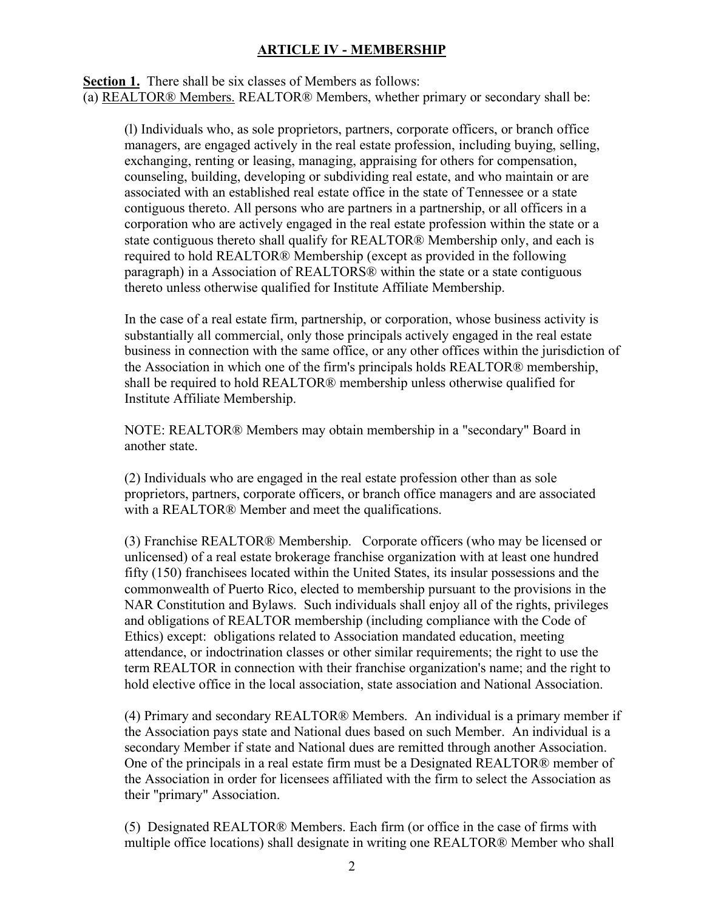### **ARTICLE IV - MEMBERSHIP**

**Section 1.** There shall be six classes of Members as follows: (a) REALTOR® Members. REALTOR® Members, whether primary or secondary shall be:

(l) Individuals who, as sole proprietors, partners, corporate officers, or branch office managers, are engaged actively in the real estate profession, including buying, selling, exchanging, renting or leasing, managing, appraising for others for compensation, counseling, building, developing or subdividing real estate, and who maintain or are associated with an established real estate office in the state of Tennessee or a state contiguous thereto. All persons who are partners in a partnership, or all officers in a corporation who are actively engaged in the real estate profession within the state or a state contiguous thereto shall qualify for REALTOR® Membership only, and each is required to hold REALTOR® Membership (except as provided in the following paragraph) in a Association of REALTORS® within the state or a state contiguous thereto unless otherwise qualified for Institute Affiliate Membership.

In the case of a real estate firm, partnership, or corporation, whose business activity is substantially all commercial, only those principals actively engaged in the real estate business in connection with the same office, or any other offices within the jurisdiction of the Association in which one of the firm's principals holds REALTOR® membership, shall be required to hold REALTOR® membership unless otherwise qualified for Institute Affiliate Membership.

NOTE: REALTOR® Members may obtain membership in a "secondary" Board in another state.

(2) Individuals who are engaged in the real estate profession other than as sole proprietors, partners, corporate officers, or branch office managers and are associated with a REALTOR® Member and meet the qualifications.

(3) Franchise REALTOR® Membership. Corporate officers (who may be licensed or unlicensed) of a real estate brokerage franchise organization with at least one hundred fifty (150) franchisees located within the United States, its insular possessions and the commonwealth of Puerto Rico, elected to membership pursuant to the provisions in the NAR Constitution and Bylaws. Such individuals shall enjoy all of the rights, privileges and obligations of REALTOR membership (including compliance with the Code of Ethics) except: obligations related to Association mandated education, meeting attendance, or indoctrination classes or other similar requirements; the right to use the term REALTOR in connection with their franchise organization's name; and the right to hold elective office in the local association, state association and National Association.

(4) Primary and secondary REALTOR® Members. An individual is a primary member if the Association pays state and National dues based on such Member. An individual is a secondary Member if state and National dues are remitted through another Association. One of the principals in a real estate firm must be a Designated REALTOR® member of the Association in order for licensees affiliated with the firm to select the Association as their "primary" Association.

(5) Designated REALTOR® Members. Each firm (or office in the case of firms with multiple office locations) shall designate in writing one REALTOR® Member who shall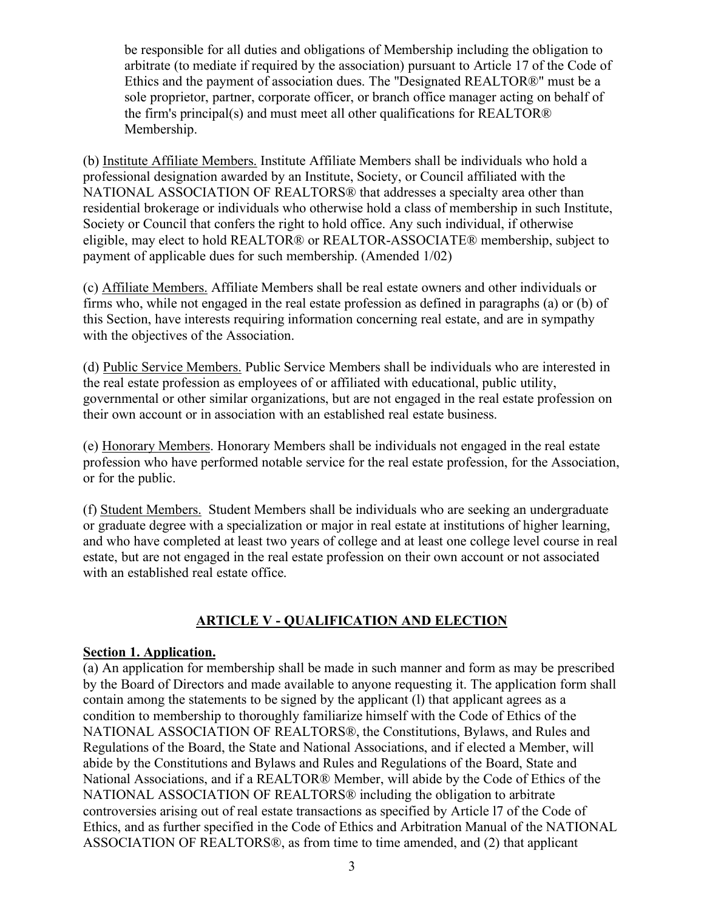be responsible for all duties and obligations of Membership including the obligation to arbitrate (to mediate if required by the association) pursuant to Article 17 of the Code of Ethics and the payment of association dues. The "Designated REALTOR®" must be a sole proprietor, partner, corporate officer, or branch office manager acting on behalf of the firm's principal(s) and must meet all other qualifications for REALTOR® Membership.

(b) Institute Affiliate Members. Institute Affiliate Members shall be individuals who hold a professional designation awarded by an Institute, Society, or Council affiliated with the NATIONAL ASSOCIATION OF REALTORS® that addresses a specialty area other than residential brokerage or individuals who otherwise hold a class of membership in such Institute, Society or Council that confers the right to hold office. Any such individual, if otherwise eligible, may elect to hold REALTOR® or REALTOR-ASSOCIATE® membership, subject to payment of applicable dues for such membership. (Amended 1/02)

(c) Affiliate Members. Affiliate Members shall be real estate owners and other individuals or firms who, while not engaged in the real estate profession as defined in paragraphs (a) or (b) of this Section, have interests requiring information concerning real estate, and are in sympathy with the objectives of the Association.

(d) Public Service Members. Public Service Members shall be individuals who are interested in the real estate profession as employees of or affiliated with educational, public utility, governmental or other similar organizations, but are not engaged in the real estate profession on their own account or in association with an established real estate business.

(e) Honorary Members. Honorary Members shall be individuals not engaged in the real estate profession who have performed notable service for the real estate profession, for the Association, or for the public.

(f) Student Members. Student Members shall be individuals who are seeking an undergraduate or graduate degree with a specialization or major in real estate at institutions of higher learning, and who have completed at least two years of college and at least one college level course in real estate, but are not engaged in the real estate profession on their own account or not associated with an established real estate office.

## **ARTICLE V - QUALIFICATION AND ELECTION**

#### **Section 1. Application.**

(a) An application for membership shall be made in such manner and form as may be prescribed by the Board of Directors and made available to anyone requesting it. The application form shall contain among the statements to be signed by the applicant (l) that applicant agrees as a condition to membership to thoroughly familiarize himself with the Code of Ethics of the NATIONAL ASSOCIATION OF REALTORS®, the Constitutions, Bylaws, and Rules and Regulations of the Board, the State and National Associations, and if elected a Member, will abide by the Constitutions and Bylaws and Rules and Regulations of the Board, State and National Associations, and if a REALTOR® Member, will abide by the Code of Ethics of the NATIONAL ASSOCIATION OF REALTORS® including the obligation to arbitrate controversies arising out of real estate transactions as specified by Article l7 of the Code of Ethics, and as further specified in the Code of Ethics and Arbitration Manual of the NATIONAL ASSOCIATION OF REALTORS®, as from time to time amended, and (2) that applicant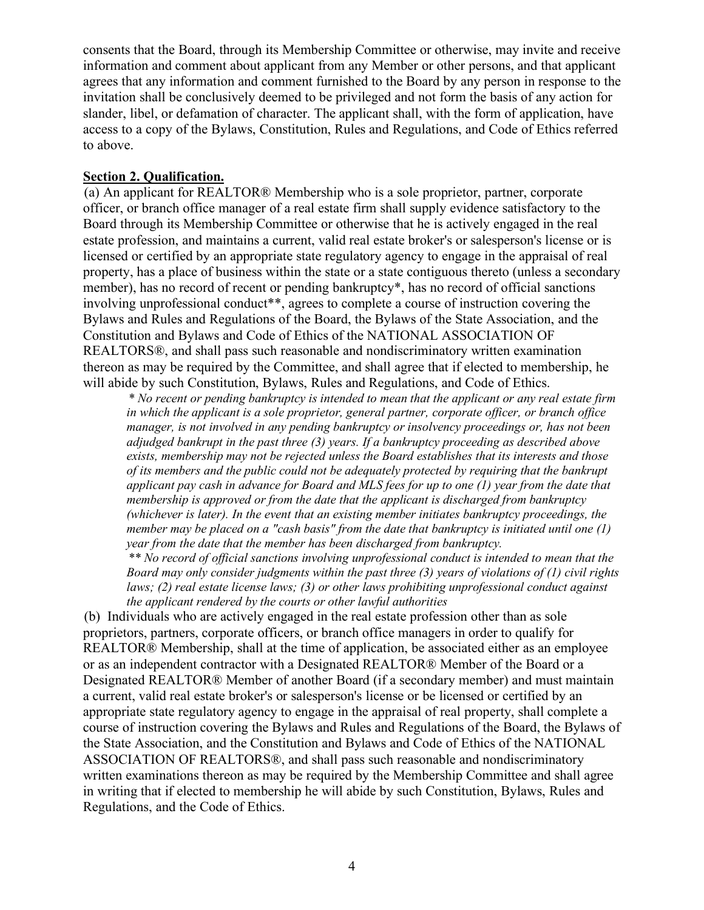consents that the Board, through its Membership Committee or otherwise, may invite and receive information and comment about applicant from any Member or other persons, and that applicant agrees that any information and comment furnished to the Board by any person in response to the invitation shall be conclusively deemed to be privileged and not form the basis of any action for slander, libel, or defamation of character. The applicant shall, with the form of application, have access to a copy of the Bylaws, Constitution, Rules and Regulations, and Code of Ethics referred to above.

#### **Section 2. Qualification.**

(a) An applicant for REALTOR® Membership who is a sole proprietor, partner, corporate officer, or branch office manager of a real estate firm shall supply evidence satisfactory to the Board through its Membership Committee or otherwise that he is actively engaged in the real estate profession, and maintains a current, valid real estate broker's or salesperson's license or is licensed or certified by an appropriate state regulatory agency to engage in the appraisal of real property, has a place of business within the state or a state contiguous thereto (unless a secondary member), has no record of recent or pending bankruptcy\*, has no record of official sanctions involving unprofessional conduct<sup>\*\*</sup>, agrees to complete a course of instruction covering the Bylaws and Rules and Regulations of the Board, the Bylaws of the State Association, and the Constitution and Bylaws and Code of Ethics of the NATIONAL ASSOCIATION OF REALTORS®, and shall pass such reasonable and nondiscriminatory written examination thereon as may be required by the Committee, and shall agree that if elected to membership, he will abide by such Constitution, Bylaws, Rules and Regulations, and Code of Ethics.

*\* No recent or pending bankruptcy is intended to mean that the applicant or any real estate firm in which the applicant is a sole proprietor, general partner, corporate officer, or branch office manager, is not involved in any pending bankruptcy or insolvency proceedings or, has not been adjudged bankrupt in the past three (3) years. If a bankruptcy proceeding as described above exists, membership may not be rejected unless the Board establishes that its interests and those of its members and the public could not be adequately protected by requiring that the bankrupt applicant pay cash in advance for Board and MLS fees for up to one (1) year from the date that membership is approved or from the date that the applicant is discharged from bankruptcy (whichever is later). In the event that an existing member initiates bankruptcy proceedings, the member may be placed on a "cash basis" from the date that bankruptcy is initiated until one (1) year from the date that the member has been discharged from bankruptcy.*

*\*\* No record of official sanctions involving unprofessional conduct is intended to mean that the Board may only consider judgments within the past three (3) years of violations of (1) civil rights laws; (2) real estate license laws; (3) or other laws prohibiting unprofessional conduct against the applicant rendered by the courts or other lawful authorities*

(b) Individuals who are actively engaged in the real estate profession other than as sole proprietors, partners, corporate officers, or branch office managers in order to qualify for REALTOR® Membership, shall at the time of application, be associated either as an employee or as an independent contractor with a Designated REALTOR® Member of the Board or a Designated REALTOR® Member of another Board (if a secondary member) and must maintain a current, valid real estate broker's or salesperson's license or be licensed or certified by an appropriate state regulatory agency to engage in the appraisal of real property, shall complete a course of instruction covering the Bylaws and Rules and Regulations of the Board, the Bylaws of the State Association, and the Constitution and Bylaws and Code of Ethics of the NATIONAL ASSOCIATION OF REALTORS®, and shall pass such reasonable and nondiscriminatory written examinations thereon as may be required by the Membership Committee and shall agree in writing that if elected to membership he will abide by such Constitution, Bylaws, Rules and Regulations, and the Code of Ethics.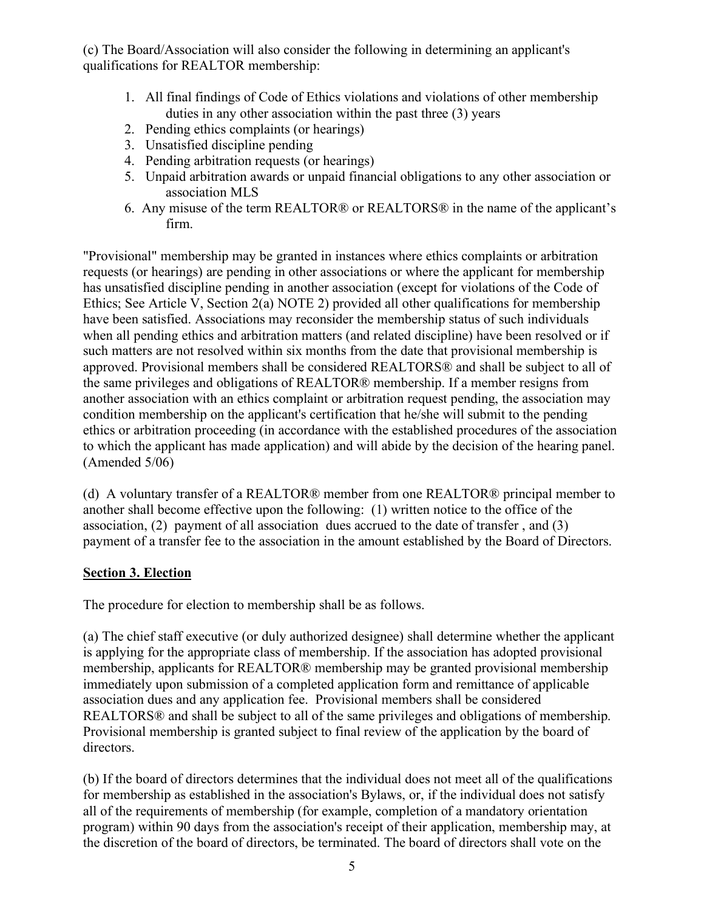(c) The Board/Association will also consider the following in determining an applicant's qualifications for REALTOR membership:

- 1. All final findings of Code of Ethics violations and violations of other membership duties in any other association within the past three (3) years
- 2. Pending ethics complaints (or hearings)
- 3. Unsatisfied discipline pending
- 4. Pending arbitration requests (or hearings)
- 5. Unpaid arbitration awards or unpaid financial obligations to any other association or association MLS
- 6. Any misuse of the term REALTOR® or REALTORS® in the name of the applicant's firm.

"Provisional" membership may be granted in instances where ethics complaints or arbitration requests (or hearings) are pending in other associations or where the applicant for membership has unsatisfied discipline pending in another association (except for violations of the Code of Ethics; See Article V, Section 2(a) NOTE 2) provided all other qualifications for membership have been satisfied. Associations may reconsider the membership status of such individuals when all pending ethics and arbitration matters (and related discipline) have been resolved or if such matters are not resolved within six months from the date that provisional membership is approved. Provisional members shall be considered REALTORS® and shall be subject to all of the same privileges and obligations of REALTOR® membership. If a member resigns from another association with an ethics complaint or arbitration request pending, the association may condition membership on the applicant's certification that he/she will submit to the pending ethics or arbitration proceeding (in accordance with the established procedures of the association to which the applicant has made application) and will abide by the decision of the hearing panel. (Amended 5/06)

(d) A voluntary transfer of a REALTOR® member from one REALTOR® principal member to another shall become effective upon the following: (1) written notice to the office of the association, (2) payment of all association dues accrued to the date of transfer , and (3) payment of a transfer fee to the association in the amount established by the Board of Directors.

#### **Section 3. Election**

The procedure for election to membership shall be as follows.

(a) The chief staff executive (or duly authorized designee) shall determine whether the applicant is applying for the appropriate class of membership. If the association has adopted provisional membership, applicants for REALTOR® membership may be granted provisional membership immediately upon submission of a completed application form and remittance of applicable association dues and any application fee. Provisional members shall be considered REALTORS® and shall be subject to all of the same privileges and obligations of membership. Provisional membership is granted subject to final review of the application by the board of directors.

(b) If the board of directors determines that the individual does not meet all of the qualifications for membership as established in the association's Bylaws, or, if the individual does not satisfy all of the requirements of membership (for example, completion of a mandatory orientation program) within 90 days from the association's receipt of their application, membership may, at the discretion of the board of directors, be terminated. The board of directors shall vote on the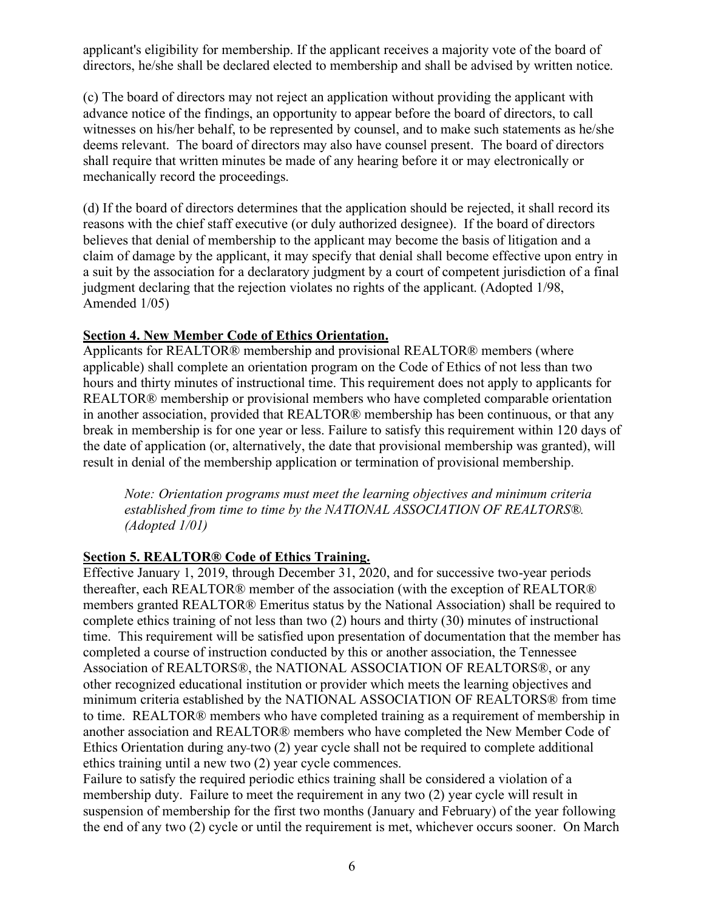applicant's eligibility for membership. If the applicant receives a majority vote of the board of directors, he/she shall be declared elected to membership and shall be advised by written notice.

(c) The board of directors may not reject an application without providing the applicant with advance notice of the findings, an opportunity to appear before the board of directors, to call witnesses on his/her behalf, to be represented by counsel, and to make such statements as he/she deems relevant. The board of directors may also have counsel present. The board of directors shall require that written minutes be made of any hearing before it or may electronically or mechanically record the proceedings.

(d) If the board of directors determines that the application should be rejected, it shall record its reasons with the chief staff executive (or duly authorized designee). If the board of directors believes that denial of membership to the applicant may become the basis of litigation and a claim of damage by the applicant, it may specify that denial shall become effective upon entry in a suit by the association for a declaratory judgment by a court of competent jurisdiction of a final judgment declaring that the rejection violates no rights of the applicant. (Adopted 1/98, Amended 1/05)

#### **Section 4. New Member Code of Ethics Orientation.**

Applicants for REALTOR® membership and provisional REALTOR® members (where applicable) shall complete an orientation program on the Code of Ethics of not less than two hours and thirty minutes of instructional time. This requirement does not apply to applicants for REALTOR® membership or provisional members who have completed comparable orientation in another association, provided that REALTOR® membership has been continuous, or that any break in membership is for one year or less. Failure to satisfy this requirement within 120 days of the date of application (or, alternatively, the date that provisional membership was granted), will result in denial of the membership application or termination of provisional membership.

*Note: Orientation programs must meet the learning objectives and minimum criteria established from time to time by the NATIONAL ASSOCIATION OF REALTORS®. (Adopted 1/01)*

#### **Section 5. REALTOR® Code of Ethics Training.**

Effective January 1, 2019, through December 31, 2020, and for successive two-year periods thereafter, each REALTOR® member of the association (with the exception of REALTOR® members granted REALTOR® Emeritus status by the National Association) shall be required to complete ethics training of not less than two (2) hours and thirty (30) minutes of instructional time. This requirement will be satisfied upon presentation of documentation that the member has completed a course of instruction conducted by this or another association, the Tennessee Association of REALTORS®, the NATIONAL ASSOCIATION OF REALTORS®, or any other recognized educational institution or provider which meets the learning objectives and minimum criteria established by the NATIONAL ASSOCIATION OF REALTORS® from time to time. REALTOR® members who have completed training as a requirement of membership in another association and REALTOR® members who have completed the New Member Code of Ethics Orientation during any two (2) year cycle shall not be required to complete additional ethics training until a new two (2) year cycle commences.

Failure to satisfy the required periodic ethics training shall be considered a violation of a membership duty. Failure to meet the requirement in any two (2) year cycle will result in suspension of membership for the first two months (January and February) of the year following the end of any two (2) cycle or until the requirement is met, whichever occurs sooner. On March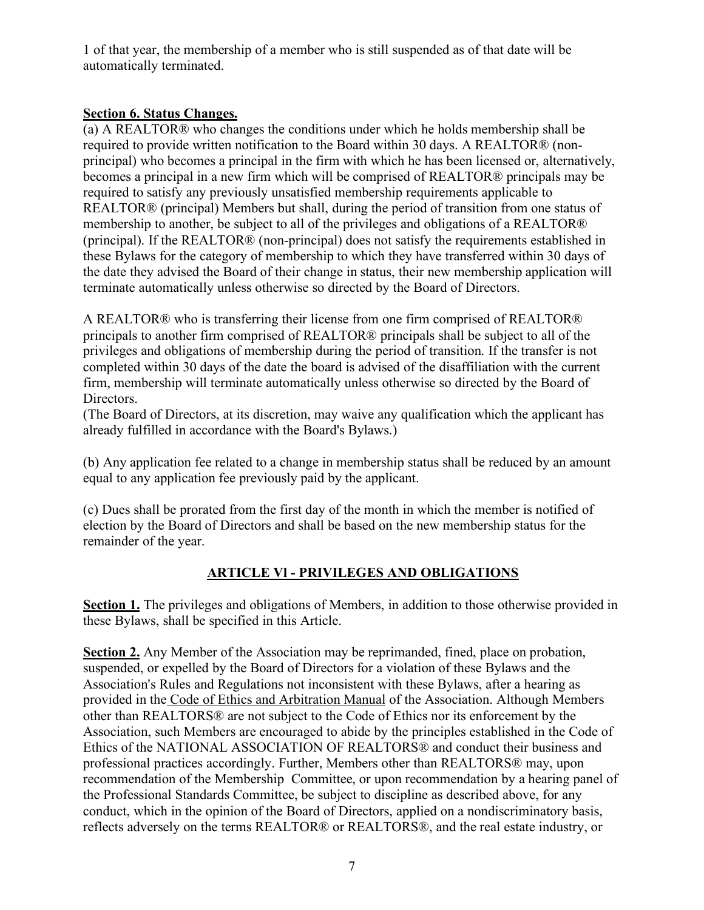1 of that year, the membership of a member who is still suspended as of that date will be automatically terminated.

### **Section 6. Status Changes.**

(a) A REALTOR® who changes the conditions under which he holds membership shall be required to provide written notification to the Board within 30 days. A REALTOR® (nonprincipal) who becomes a principal in the firm with which he has been licensed or, alternatively, becomes a principal in a new firm which will be comprised of REALTOR® principals may be required to satisfy any previously unsatisfied membership requirements applicable to REALTOR® (principal) Members but shall, during the period of transition from one status of membership to another, be subject to all of the privileges and obligations of a REALTOR® (principal). If the REALTOR® (non-principal) does not satisfy the requirements established in these Bylaws for the category of membership to which they have transferred within 30 days of the date they advised the Board of their change in status, their new membership application will terminate automatically unless otherwise so directed by the Board of Directors.

A REALTOR® who is transferring their license from one firm comprised of REALTOR® principals to another firm comprised of REALTOR® principals shall be subject to all of the privileges and obligations of membership during the period of transition. If the transfer is not completed within 30 days of the date the board is advised of the disaffiliation with the current firm, membership will terminate automatically unless otherwise so directed by the Board of Directors.

(The Board of Directors, at its discretion, may waive any qualification which the applicant has already fulfilled in accordance with the Board's Bylaws.)

(b) Any application fee related to a change in membership status shall be reduced by an amount equal to any application fee previously paid by the applicant.

(c) Dues shall be prorated from the first day of the month in which the member is notified of election by the Board of Directors and shall be based on the new membership status for the remainder of the year.

# **ARTICLE Vl - PRIVILEGES AND OBLIGATIONS**

**Section 1.** The privileges and obligations of Members, in addition to those otherwise provided in these Bylaws, shall be specified in this Article.

**Section 2.** Any Member of the Association may be reprimanded, fined, place on probation, suspended, or expelled by the Board of Directors for a violation of these Bylaws and the Association's Rules and Regulations not inconsistent with these Bylaws, after a hearing as provided in the Code of Ethics and Arbitration Manual of the Association. Although Members other than REALTORS® are not subject to the Code of Ethics nor its enforcement by the Association, such Members are encouraged to abide by the principles established in the Code of Ethics of the NATIONAL ASSOCIATION OF REALTORS® and conduct their business and professional practices accordingly. Further, Members other than REALTORS® may, upon recommendation of the Membership Committee, or upon recommendation by a hearing panel of the Professional Standards Committee, be subject to discipline as described above, for any conduct, which in the opinion of the Board of Directors, applied on a nondiscriminatory basis, reflects adversely on the terms REALTOR® or REALTORS®, and the real estate industry, or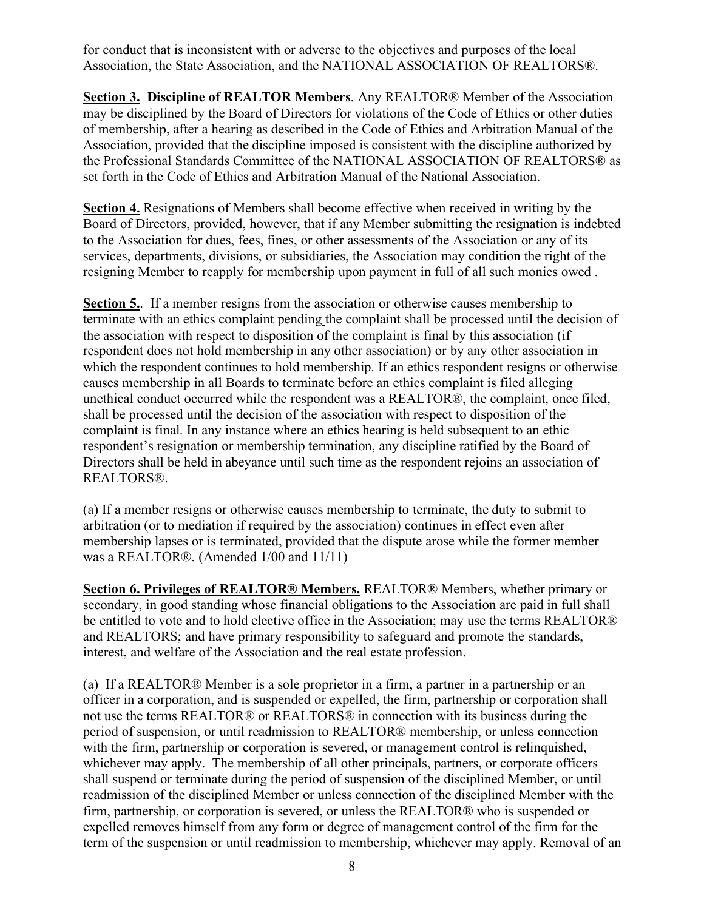for conduct that is inconsistent with or adverse to the objectives and purposes of the local Association, the State Association, and the NATIONAL ASSOCIATION OF REALTORS®.

**Section 3. Discipline of REALTOR Members**. Any REALTOR® Member of the Association may be disciplined by the Board of Directors for violations of the Code of Ethics or other duties of membership, after a hearing as described in the Code of Ethics and Arbitration Manual of the Association, provided that the discipline imposed is consistent with the discipline authorized by the Professional Standards Committee of the NATIONAL ASSOCIATION OF REALTORS® as set forth in the Code of Ethics and Arbitration Manual of the National Association.

**Section 4.** Resignations of Members shall become effective when received in writing by the Board of Directors, provided, however, that if any Member submitting the resignation is indebted to the Association for dues, fees, fines, or other assessments of the Association or any of its services, departments, divisions, or subsidiaries, the Association may condition the right of the resigning Member to reapply for membership upon payment in full of all such monies owed .

**Section 5.**. If a member resigns from the association or otherwise causes membership to terminate with an ethics complaint pending the complaint shall be processed until the decision of the association with respect to disposition of the complaint is final by this association (if respondent does not hold membership in any other association) or by any other association in which the respondent continues to hold membership. If an ethics respondent resigns or otherwise causes membership in all Boards to terminate before an ethics complaint is filed alleging unethical conduct occurred while the respondent was a REALTOR®, the complaint, once filed, shall be processed until the decision of the association with respect to disposition of the complaint is final. In any instance where an ethics hearing is held subsequent to an ethic respondent's resignation or membership termination, any discipline ratified by the Board of Directors shall be held in abeyance until such time as the respondent rejoins an association of REALTORS®.

(a) If a member resigns or otherwise causes membership to terminate, the duty to submit to arbitration (or to mediation if required by the association) continues in effect even after membership lapses or is terminated, provided that the dispute arose while the former member was a REALTOR®. (Amended 1/00 and 11/11)

**Section 6. Privileges of REALTOR® Members.** REALTOR® Members, whether primary or secondary, in good standing whose financial obligations to the Association are paid in full shall be entitled to vote and to hold elective office in the Association; may use the terms REALTOR® and REALTORS; and have primary responsibility to safeguard and promote the standards, interest, and welfare of the Association and the real estate profession.

(a) If a REALTOR® Member is a sole proprietor in a firm, a partner in a partnership or an officer in a corporation, and is suspended or expelled, the firm, partnership or corporation shall not use the terms REALTOR® or REALTORS® in connection with its business during the period of suspension, or until readmission to REALTOR® membership, or unless connection with the firm, partnership or corporation is severed, or management control is relinquished, whichever may apply. The membership of all other principals, partners, or corporate officers shall suspend or terminate during the period of suspension of the disciplined Member, or until readmission of the disciplined Member or unless connection of the disciplined Member with the firm, partnership, or corporation is severed, or unless the REALTOR® who is suspended or expelled removes himself from any form or degree of management control of the firm for the term of the suspension or until readmission to membership, whichever may apply. Removal of an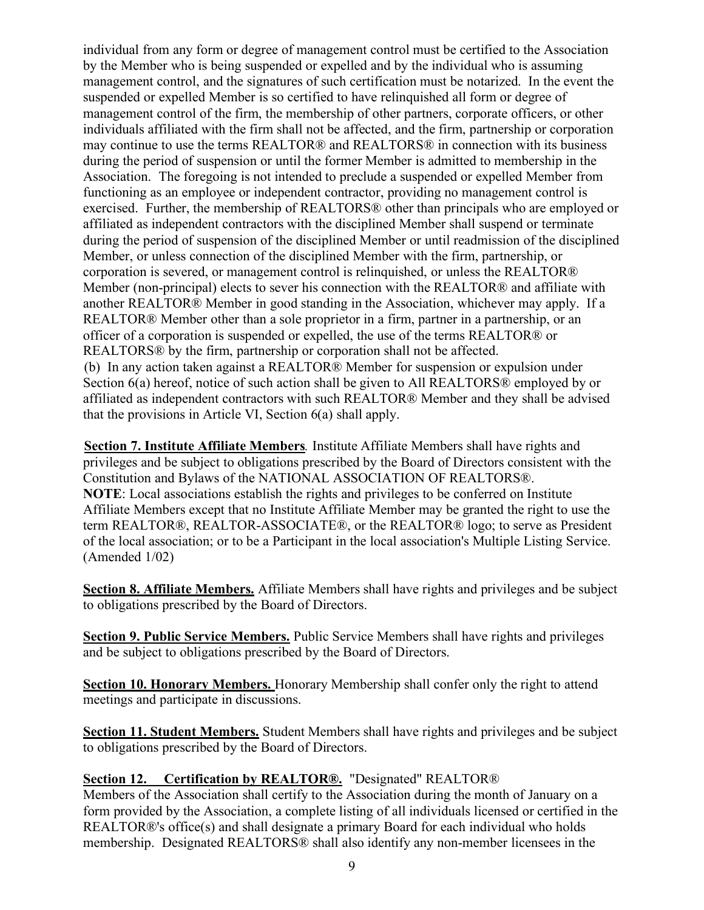individual from any form or degree of management control must be certified to the Association by the Member who is being suspended or expelled and by the individual who is assuming management control, and the signatures of such certification must be notarized. In the event the suspended or expelled Member is so certified to have relinquished all form or degree of management control of the firm, the membership of other partners, corporate officers, or other individuals affiliated with the firm shall not be affected, and the firm, partnership or corporation may continue to use the terms REALTOR® and REALTORS® in connection with its business during the period of suspension or until the former Member is admitted to membership in the Association. The foregoing is not intended to preclude a suspended or expelled Member from functioning as an employee or independent contractor, providing no management control is exercised. Further, the membership of REALTORS® other than principals who are employed or affiliated as independent contractors with the disciplined Member shall suspend or terminate during the period of suspension of the disciplined Member or until readmission of the disciplined Member, or unless connection of the disciplined Member with the firm, partnership, or corporation is severed, or management control is relinquished, or unless the REALTOR® Member (non-principal) elects to sever his connection with the REALTOR® and affiliate with another REALTOR® Member in good standing in the Association, whichever may apply. If a REALTOR® Member other than a sole proprietor in a firm, partner in a partnership, or an officer of a corporation is suspended or expelled, the use of the terms REALTOR® or REALTORS® by the firm, partnership or corporation shall not be affected. (b) In any action taken against a REALTOR® Member for suspension or expulsion under Section 6(a) hereof, notice of such action shall be given to All REALTORS® employed by or affiliated as independent contractors with such REALTOR® Member and they shall be advised that the provisions in Article VI, Section 6(a) shall apply.

**Section 7. Institute Affiliate Members***.* Institute Affiliate Members shall have rights and privileges and be subject to obligations prescribed by the Board of Directors consistent with the Constitution and Bylaws of the NATIONAL ASSOCIATION OF REALTORS®. **NOTE**: Local associations establish the rights and privileges to be conferred on Institute Affiliate Members except that no Institute Affiliate Member may be granted the right to use the term REALTOR®, REALTOR-ASSOCIATE®, or the REALTOR® logo; to serve as President of the local association; or to be a Participant in the local association's Multiple Listing Service. (Amended 1/02)

**Section 8. Affiliate Members.** Affiliate Members shall have rights and privileges and be subject to obligations prescribed by the Board of Directors.

**Section 9. Public Service Members.** Public Service Members shall have rights and privileges and be subject to obligations prescribed by the Board of Directors.

**Section 10. Honorary Members.** Honorary Membership shall confer only the right to attend meetings and participate in discussions.

**Section 11. Student Members.** Student Members shall have rights and privileges and be subject to obligations prescribed by the Board of Directors.

#### **Section 12. Certification by REALTOR®.** "Designated" REALTOR®

Members of the Association shall certify to the Association during the month of January on a form provided by the Association, a complete listing of all individuals licensed or certified in the REALTOR®'s office(s) and shall designate a primary Board for each individual who holds membership. Designated REALTORS® shall also identify any non-member licensees in the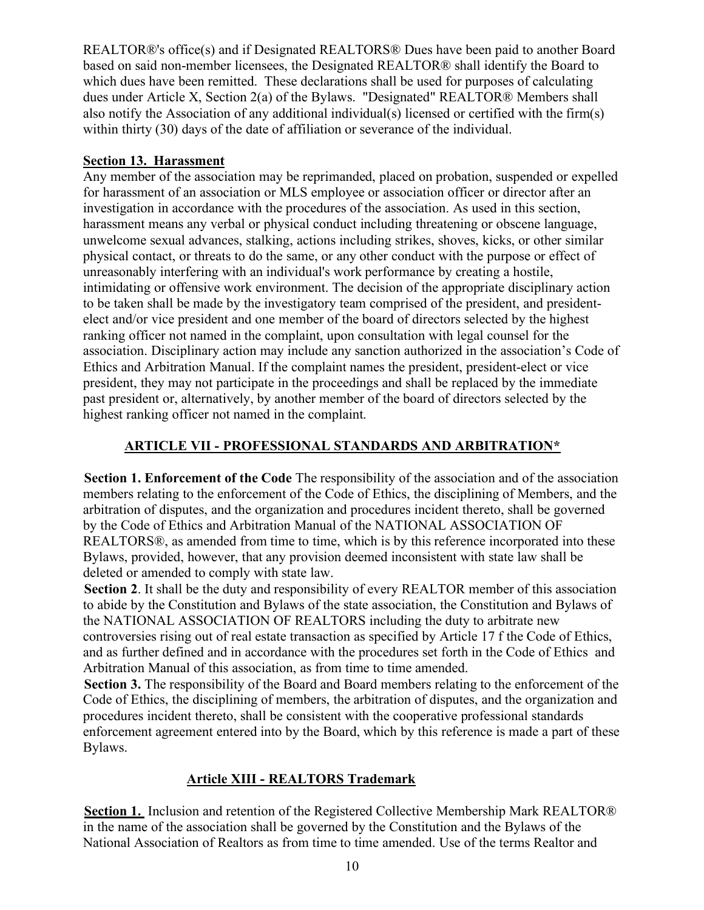REALTOR®'s office(s) and if Designated REALTORS® Dues have been paid to another Board based on said non-member licensees, the Designated REALTOR® shall identify the Board to which dues have been remitted. These declarations shall be used for purposes of calculating dues under Article X, Section 2(a) of the Bylaws. "Designated" REALTOR® Members shall also notify the Association of any additional individual(s) licensed or certified with the firm(s) within thirty (30) days of the date of affiliation or severance of the individual.

### **Section 13. Harassment**

Any member of the association may be reprimanded, placed on probation, suspended or expelled for harassment of an association or MLS employee or association officer or director after an investigation in accordance with the procedures of the association. As used in this section, harassment means any verbal or physical conduct including threatening or obscene language, unwelcome sexual advances, stalking, actions including strikes, shoves, kicks, or other similar physical contact, or threats to do the same, or any other conduct with the purpose or effect of unreasonably interfering with an individual's work performance by creating a hostile, intimidating or offensive work environment. The decision of the appropriate disciplinary action to be taken shall be made by the investigatory team comprised of the president, and presidentelect and/or vice president and one member of the board of directors selected by the highest ranking officer not named in the complaint, upon consultation with legal counsel for the association. Disciplinary action may include any sanction authorized in the association's Code of Ethics and Arbitration Manual. If the complaint names the president, president-elect or vice president, they may not participate in the proceedings and shall be replaced by the immediate past president or, alternatively, by another member of the board of directors selected by the highest ranking officer not named in the complaint.

## **ARTICLE VII - PROFESSIONAL STANDARDS AND ARBITRATION\***

**Section 1. Enforcement of the Code** The responsibility of the association and of the association members relating to the enforcement of the Code of Ethics, the disciplining of Members, and the arbitration of disputes, and the organization and procedures incident thereto, shall be governed by the Code of Ethics and Arbitration Manual of the NATIONAL ASSOCIATION OF REALTORS®, as amended from time to time, which is by this reference incorporated into these Bylaws, provided, however, that any provision deemed inconsistent with state law shall be deleted or amended to comply with state law.

**Section 2**. It shall be the duty and responsibility of every REALTOR member of this association to abide by the Constitution and Bylaws of the state association, the Constitution and Bylaws of the NATIONAL ASSOCIATION OF REALTORS including the duty to arbitrate new controversies rising out of real estate transaction as specified by Article 17 f the Code of Ethics, and as further defined and in accordance with the procedures set forth in the Code of Ethics and Arbitration Manual of this association, as from time to time amended.

**Section 3.** The responsibility of the Board and Board members relating to the enforcement of the Code of Ethics, the disciplining of members, the arbitration of disputes, and the organization and procedures incident thereto, shall be consistent with the cooperative professional standards enforcement agreement entered into by the Board, which by this reference is made a part of these Bylaws.

## **Article XIII - REALTORS Trademark**

**Section 1.** Inclusion and retention of the Registered Collective Membership Mark REALTOR® in the name of the association shall be governed by the Constitution and the Bylaws of the National Association of Realtors as from time to time amended. Use of the terms Realtor and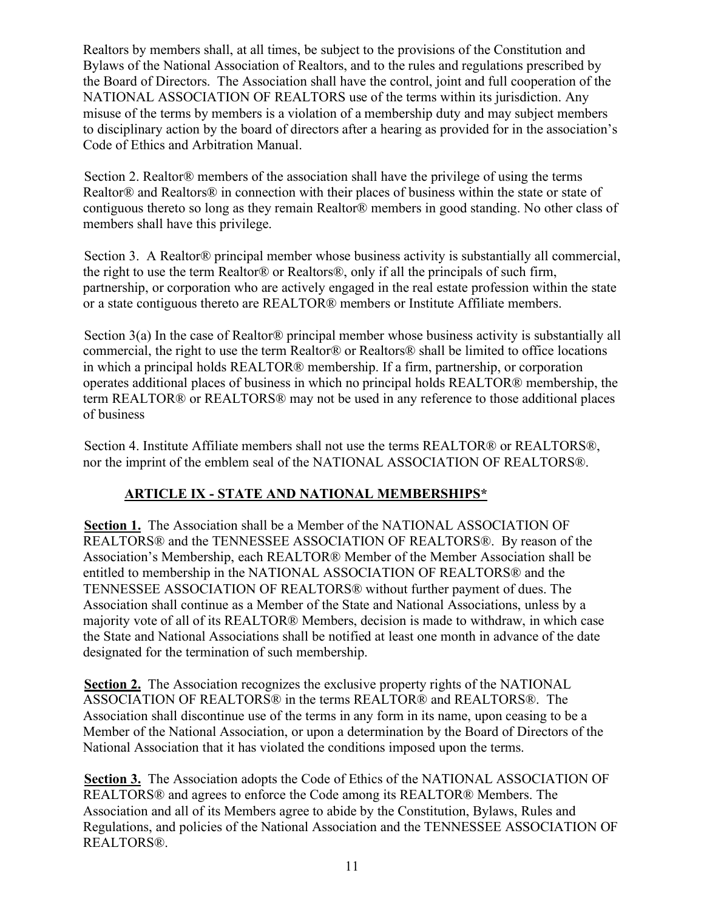Realtors by members shall, at all times, be subject to the provisions of the Constitution and Bylaws of the National Association of Realtors, and to the rules and regulations prescribed by the Board of Directors. The Association shall have the control, joint and full cooperation of the NATIONAL ASSOCIATION OF REALTORS use of the terms within its jurisdiction. Any misuse of the terms by members is a violation of a membership duty and may subject members to disciplinary action by the board of directors after a hearing as provided for in the association's Code of Ethics and Arbitration Manual.

Section 2. Realtor® members of the association shall have the privilege of using the terms Realtor® and Realtors® in connection with their places of business within the state or state of contiguous thereto so long as they remain Realtor® members in good standing. No other class of members shall have this privilege.

Section 3. A Realtor® principal member whose business activity is substantially all commercial, the right to use the term Realtor® or Realtors®, only if all the principals of such firm, partnership, or corporation who are actively engaged in the real estate profession within the state or a state contiguous thereto are REALTOR® members or Institute Affiliate members.

Section 3(a) In the case of Realtor® principal member whose business activity is substantially all commercial, the right to use the term Realtor® or Realtors® shall be limited to office locations in which a principal holds REALTOR® membership. If a firm, partnership, or corporation operates additional places of business in which no principal holds REALTOR® membership, the term REALTOR® or REALTORS® may not be used in any reference to those additional places of business

Section 4. Institute Affiliate members shall not use the terms REALTOR® or REALTORS®, nor the imprint of the emblem seal of the NATIONAL ASSOCIATION OF REALTORS®.

# **ARTICLE IX - STATE AND NATIONAL MEMBERSHIPS\***

**Section 1.** The Association shall be a Member of the NATIONAL ASSOCIATION OF REALTORS® and the TENNESSEE ASSOCIATION OF REALTORS®. By reason of the Association's Membership, each REALTOR® Member of the Member Association shall be entitled to membership in the NATIONAL ASSOCIATION OF REALTORS® and the TENNESSEE ASSOCIATION OF REALTORS® without further payment of dues. The Association shall continue as a Member of the State and National Associations, unless by a majority vote of all of its REALTOR® Members, decision is made to withdraw, in which case the State and National Associations shall be notified at least one month in advance of the date designated for the termination of such membership.

**Section 2.** The Association recognizes the exclusive property rights of the NATIONAL ASSOCIATION OF REALTORS® in the terms REALTOR® and REALTORS®. The Association shall discontinue use of the terms in any form in its name, upon ceasing to be a Member of the National Association, or upon a determination by the Board of Directors of the National Association that it has violated the conditions imposed upon the terms.

**Section 3.** The Association adopts the Code of Ethics of the NATIONAL ASSOCIATION OF REALTORS® and agrees to enforce the Code among its REALTOR® Members. The Association and all of its Members agree to abide by the Constitution, Bylaws, Rules and Regulations, and policies of the National Association and the TENNESSEE ASSOCIATION OF REALTORS®.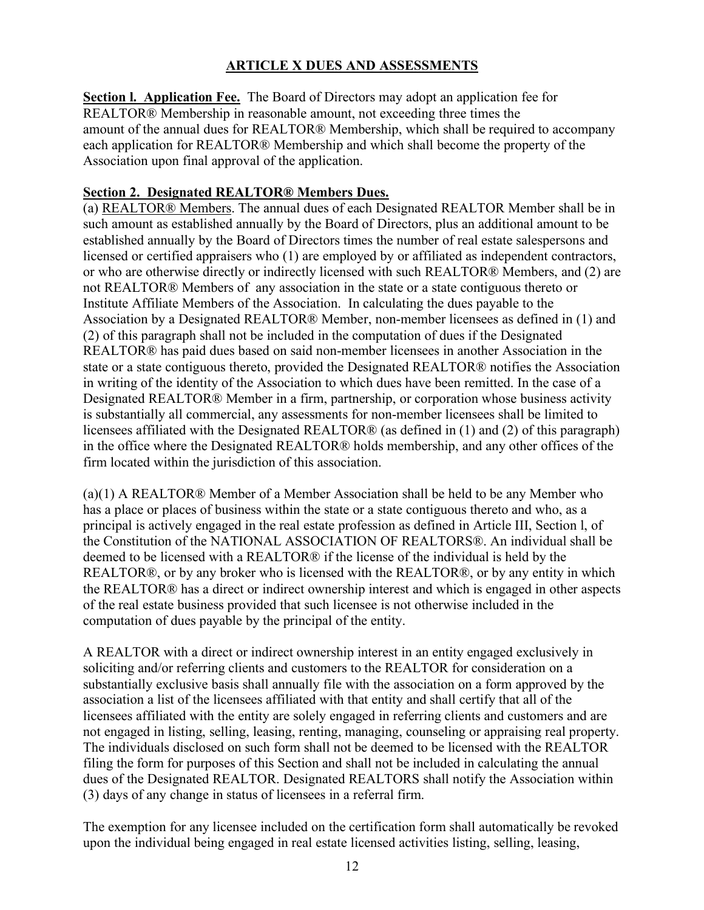# **ARTICLE X DUES AND ASSESSMENTS**

**Section l. Application Fee.** The Board of Directors may adopt an application fee for REALTOR® Membership in reasonable amount, not exceeding three times the amount of the annual dues for REALTOR® Membership, which shall be required to accompany each application for REALTOR® Membership and which shall become the property of the Association upon final approval of the application.

### **Section 2. Designated REALTOR® Members Dues.**

(a) REALTOR® Members. The annual dues of each Designated REALTOR Member shall be in such amount as established annually by the Board of Directors, plus an additional amount to be established annually by the Board of Directors times the number of real estate salespersons and licensed or certified appraisers who (1) are employed by or affiliated as independent contractors, or who are otherwise directly or indirectly licensed with such REALTOR® Members, and (2) are not REALTOR® Members of any association in the state or a state contiguous thereto or Institute Affiliate Members of the Association. In calculating the dues payable to the Association by a Designated REALTOR® Member, non-member licensees as defined in (1) and (2) of this paragraph shall not be included in the computation of dues if the Designated REALTOR® has paid dues based on said non-member licensees in another Association in the state or a state contiguous thereto, provided the Designated REALTOR® notifies the Association in writing of the identity of the Association to which dues have been remitted. In the case of a Designated REALTOR® Member in a firm, partnership, or corporation whose business activity is substantially all commercial, any assessments for non-member licensees shall be limited to licensees affiliated with the Designated REALTOR® (as defined in (1) and (2) of this paragraph) in the office where the Designated REALTOR® holds membership, and any other offices of the firm located within the jurisdiction of this association.

(a)(1) A REALTOR® Member of a Member Association shall be held to be any Member who has a place or places of business within the state or a state contiguous thereto and who, as a principal is actively engaged in the real estate profession as defined in Article III, Section l, of the Constitution of the NATIONAL ASSOCIATION OF REALTORS®. An individual shall be deemed to be licensed with a REALTOR® if the license of the individual is held by the REALTOR®, or by any broker who is licensed with the REALTOR®, or by any entity in which the REALTOR® has a direct or indirect ownership interest and which is engaged in other aspects of the real estate business provided that such licensee is not otherwise included in the computation of dues payable by the principal of the entity.

A REALTOR with a direct or indirect ownership interest in an entity engaged exclusively in soliciting and/or referring clients and customers to the REALTOR for consideration on a substantially exclusive basis shall annually file with the association on a form approved by the association a list of the licensees affiliated with that entity and shall certify that all of the licensees affiliated with the entity are solely engaged in referring clients and customers and are not engaged in listing, selling, leasing, renting, managing, counseling or appraising real property. The individuals disclosed on such form shall not be deemed to be licensed with the REALTOR filing the form for purposes of this Section and shall not be included in calculating the annual dues of the Designated REALTOR. Designated REALTORS shall notify the Association within (3) days of any change in status of licensees in a referral firm.

The exemption for any licensee included on the certification form shall automatically be revoked upon the individual being engaged in real estate licensed activities listing, selling, leasing,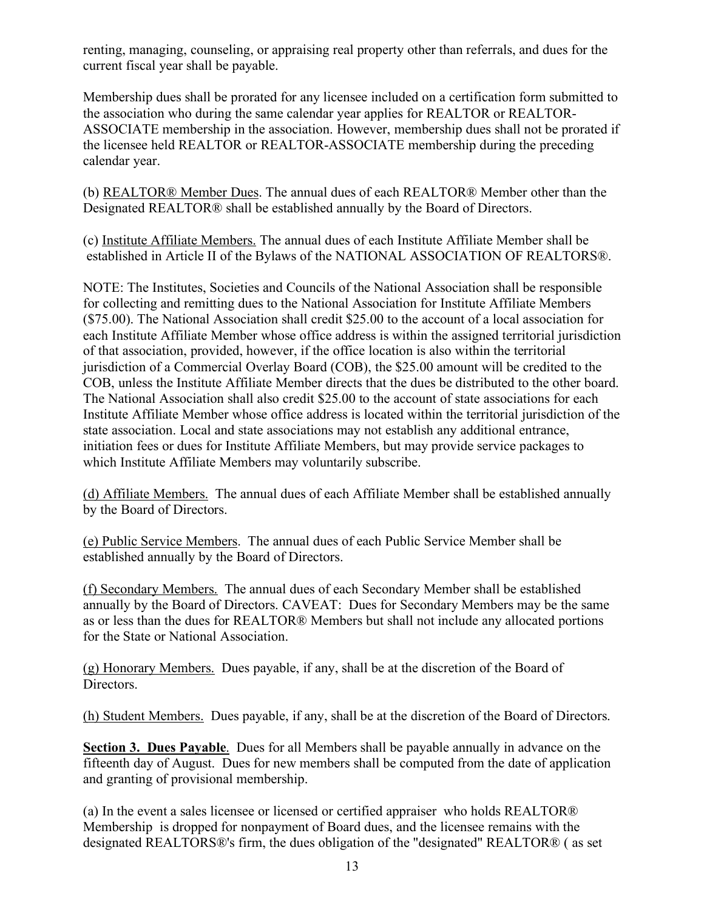renting, managing, counseling, or appraising real property other than referrals, and dues for the current fiscal year shall be payable.

Membership dues shall be prorated for any licensee included on a certification form submitted to the association who during the same calendar year applies for REALTOR or REALTOR-ASSOCIATE membership in the association. However, membership dues shall not be prorated if the licensee held REALTOR or REALTOR-ASSOCIATE membership during the preceding calendar year.

(b) REALTOR® Member Dues. The annual dues of each REALTOR® Member other than the Designated REALTOR® shall be established annually by the Board of Directors.

(c) Institute Affiliate Members. The annual dues of each Institute Affiliate Member shall be established in Article II of the Bylaws of the NATIONAL ASSOCIATION OF REALTORS®.

NOTE: The Institutes, Societies and Councils of the National Association shall be responsible for collecting and remitting dues to the National Association for Institute Affiliate Members (\$75.00). The National Association shall credit \$25.00 to the account of a local association for each Institute Affiliate Member whose office address is within the assigned territorial jurisdiction of that association, provided, however, if the office location is also within the territorial jurisdiction of a Commercial Overlay Board (COB), the \$25.00 amount will be credited to the COB, unless the Institute Affiliate Member directs that the dues be distributed to the other board. The National Association shall also credit \$25.00 to the account of state associations for each Institute Affiliate Member whose office address is located within the territorial jurisdiction of the state association. Local and state associations may not establish any additional entrance, initiation fees or dues for Institute Affiliate Members, but may provide service packages to which Institute Affiliate Members may voluntarily subscribe.

(d) Affiliate Members. The annual dues of each Affiliate Member shall be established annually by the Board of Directors.

(e) Public Service Members. The annual dues of each Public Service Member shall be established annually by the Board of Directors.

(f) Secondary Members. The annual dues of each Secondary Member shall be established annually by the Board of Directors. CAVEAT: Dues for Secondary Members may be the same as or less than the dues for REALTOR® Members but shall not include any allocated portions for the State or National Association.

(g) Honorary Members. Dues payable, if any, shall be at the discretion of the Board of Directors.

(h) Student Members. Dues payable, if any, shall be at the discretion of the Board of Directors.

**Section 3. Dues Payable**. Dues for all Members shall be payable annually in advance on the fifteenth day of August. Dues for new members shall be computed from the date of application and granting of provisional membership.

(a) In the event a sales licensee or licensed or certified appraiser who holds REALTOR® Membership is dropped for nonpayment of Board dues, and the licensee remains with the designated REALTORS®'s firm, the dues obligation of the "designated" REALTOR® ( as set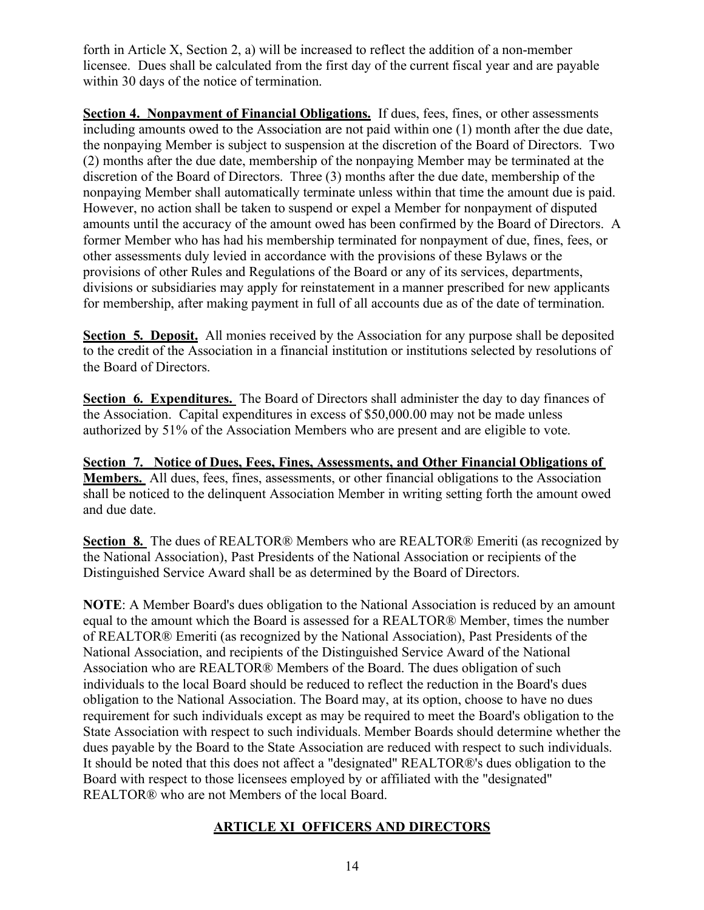forth in Article X, Section 2, a) will be increased to reflect the addition of a non-member licensee. Dues shall be calculated from the first day of the current fiscal year and are payable within 30 days of the notice of termination.

**Section 4. Nonpayment of Financial Obligations.** If dues, fees, fines, or other assessments including amounts owed to the Association are not paid within one (1) month after the due date, the nonpaying Member is subject to suspension at the discretion of the Board of Directors. Two (2) months after the due date, membership of the nonpaying Member may be terminated at the discretion of the Board of Directors. Three (3) months after the due date, membership of the nonpaying Member shall automatically terminate unless within that time the amount due is paid. However, no action shall be taken to suspend or expel a Member for nonpayment of disputed amounts until the accuracy of the amount owed has been confirmed by the Board of Directors. A former Member who has had his membership terminated for nonpayment of due, fines, fees, or other assessments duly levied in accordance with the provisions of these Bylaws or the provisions of other Rules and Regulations of the Board or any of its services, departments, divisions or subsidiaries may apply for reinstatement in a manner prescribed for new applicants for membership, after making payment in full of all accounts due as of the date of termination.

**Section 5. Deposit.** All monies received by the Association for any purpose shall be deposited to the credit of the Association in a financial institution or institutions selected by resolutions of the Board of Directors.

**Section 6. Expenditures.** The Board of Directors shall administer the day to day finances of the Association. Capital expenditures in excess of \$50,000.00 may not be made unless authorized by 51% of the Association Members who are present and are eligible to vote.

**Section 7. Notice of Dues, Fees, Fines, Assessments, and Other Financial Obligations of Members.** All dues, fees, fines, assessments, or other financial obligations to the Association shall be noticed to the delinquent Association Member in writing setting forth the amount owed and due date.

**Section 8.** The dues of REALTOR® Members who are REALTOR® Emeriti (as recognized by the National Association), Past Presidents of the National Association or recipients of the Distinguished Service Award shall be as determined by the Board of Directors.

**NOTE**: A Member Board's dues obligation to the National Association is reduced by an amount equal to the amount which the Board is assessed for a REALTOR® Member, times the number of REALTOR® Emeriti (as recognized by the National Association), Past Presidents of the National Association, and recipients of the Distinguished Service Award of the National Association who are REALTOR® Members of the Board. The dues obligation of such individuals to the local Board should be reduced to reflect the reduction in the Board's dues obligation to the National Association. The Board may, at its option, choose to have no dues requirement for such individuals except as may be required to meet the Board's obligation to the State Association with respect to such individuals. Member Boards should determine whether the dues payable by the Board to the State Association are reduced with respect to such individuals. It should be noted that this does not affect a "designated" REALTOR®'s dues obligation to the Board with respect to those licensees employed by or affiliated with the "designated" REALTOR® who are not Members of the local Board.

#### **ARTICLE XI OFFICERS AND DIRECTORS**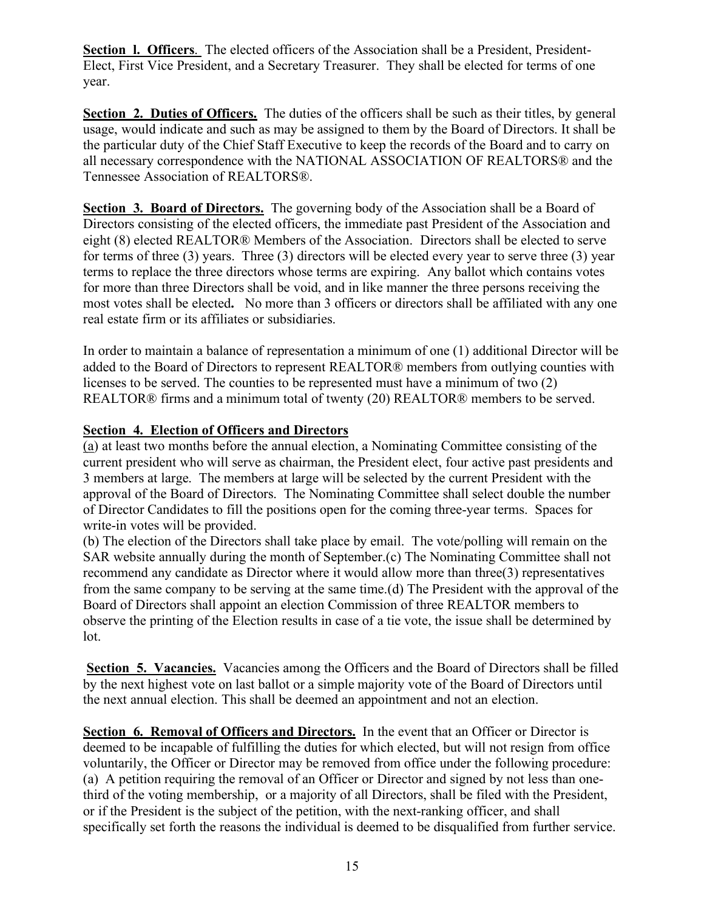**Section l. Officers**. The elected officers of the Association shall be a President, President-Elect, First Vice President, and a Secretary Treasurer. They shall be elected for terms of one year.

**Section 2. Duties of Officers.** The duties of the officers shall be such as their titles, by general usage, would indicate and such as may be assigned to them by the Board of Directors. It shall be the particular duty of the Chief Staff Executive to keep the records of the Board and to carry on all necessary correspondence with the NATIONAL ASSOCIATION OF REALTORS® and the Tennessee Association of REALTORS®.

**Section 3. Board of Directors.** The governing body of the Association shall be a Board of Directors consisting of the elected officers, the immediate past President of the Association and eight (8) elected REALTOR® Members of the Association. Directors shall be elected to serve for terms of three (3) years. Three (3) directors will be elected every year to serve three (3) year terms to replace the three directors whose terms are expiring. Any ballot which contains votes for more than three Directors shall be void, and in like manner the three persons receiving the most votes shall be elected**.** No more than 3 officers or directors shall be affiliated with any one real estate firm or its affiliates or subsidiaries.

In order to maintain a balance of representation a minimum of one (1) additional Director will be added to the Board of Directors to represent REALTOR® members from outlying counties with licenses to be served. The counties to be represented must have a minimum of two (2) REALTOR® firms and a minimum total of twenty (20) REALTOR® members to be served.

#### **Section 4. Election of Officers and Directors**

(a) at least two months before the annual election, a Nominating Committee consisting of the current president who will serve as chairman, the President elect, four active past presidents and 3 members at large. The members at large will be selected by the current President with the approval of the Board of Directors. The Nominating Committee shall select double the number of Director Candidates to fill the positions open for the coming three-year terms. Spaces for write-in votes will be provided.

(b) The election of the Directors shall take place by email. The vote/polling will remain on the SAR website annually during the month of September.(c) The Nominating Committee shall not recommend any candidate as Director where it would allow more than three(3) representatives from the same company to be serving at the same time.(d) The President with the approval of the Board of Directors shall appoint an election Commission of three REALTOR members to observe the printing of the Election results in case of a tie vote, the issue shall be determined by lot.

**Section 5. Vacancies.** Vacancies among the Officers and the Board of Directors shall be filled by the next highest vote on last ballot or a simple majority vote of the Board of Directors until the next annual election. This shall be deemed an appointment and not an election.

**Section 6. Removal of Officers and Directors.** In the event that an Officer or Director is deemed to be incapable of fulfilling the duties for which elected, but will not resign from office voluntarily, the Officer or Director may be removed from office under the following procedure: (a) A petition requiring the removal of an Officer or Director and signed by not less than onethird of the voting membership, or a majority of all Directors, shall be filed with the President, or if the President is the subject of the petition, with the next-ranking officer, and shall specifically set forth the reasons the individual is deemed to be disqualified from further service.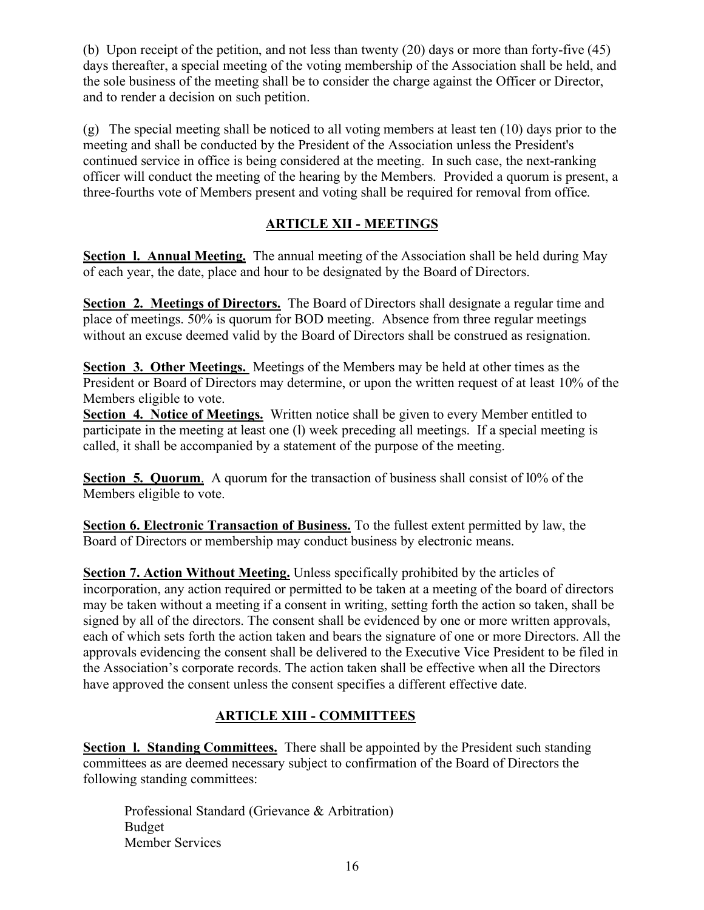(b) Upon receipt of the petition, and not less than twenty (20) days or more than forty-five (45) days thereafter, a special meeting of the voting membership of the Association shall be held, and the sole business of the meeting shall be to consider the charge against the Officer or Director, and to render a decision on such petition.

(g) The special meeting shall be noticed to all voting members at least ten (10) days prior to the meeting and shall be conducted by the President of the Association unless the President's continued service in office is being considered at the meeting. In such case, the next-ranking officer will conduct the meeting of the hearing by the Members. Provided a quorum is present, a three-fourths vote of Members present and voting shall be required for removal from office.

### **ARTICLE XII - MEETINGS**

**Section l. Annual Meeting.** The annual meeting of the Association shall be held during May of each year, the date, place and hour to be designated by the Board of Directors.

**Section 2. Meetings of Directors.** The Board of Directors shall designate a regular time and place of meetings. 50% is quorum for BOD meeting. Absence from three regular meetings without an excuse deemed valid by the Board of Directors shall be construed as resignation.

**Section 3. Other Meetings.** Meetings of the Members may be held at other times as the President or Board of Directors may determine, or upon the written request of at least 10% of the Members eligible to vote.

**Section 4. Notice of Meetings.** Written notice shall be given to every Member entitled to participate in the meeting at least one (l) week preceding all meetings. If a special meeting is called, it shall be accompanied by a statement of the purpose of the meeting.

**Section 5. Quorum.** A quorum for the transaction of business shall consist of 10% of the Members eligible to vote.

**Section 6. Electronic Transaction of Business.** To the fullest extent permitted by law, the Board of Directors or membership may conduct business by electronic means.

**Section 7. Action Without Meeting.** Unless specifically prohibited by the articles of incorporation, any action required or permitted to be taken at a meeting of the board of directors may be taken without a meeting if a consent in writing, setting forth the action so taken, shall be signed by all of the directors. The consent shall be evidenced by one or more written approvals, each of which sets forth the action taken and bears the signature of one or more Directors. All the approvals evidencing the consent shall be delivered to the Executive Vice President to be filed in the Association's corporate records. The action taken shall be effective when all the Directors have approved the consent unless the consent specifies a different effective date.

## **ARTICLE XIII - COMMITTEES**

**Section 1. Standing Committees.** There shall be appointed by the President such standing committees as are deemed necessary subject to confirmation of the Board of Directors the following standing committees:

Professional Standard (Grievance & Arbitration) Budget Member Services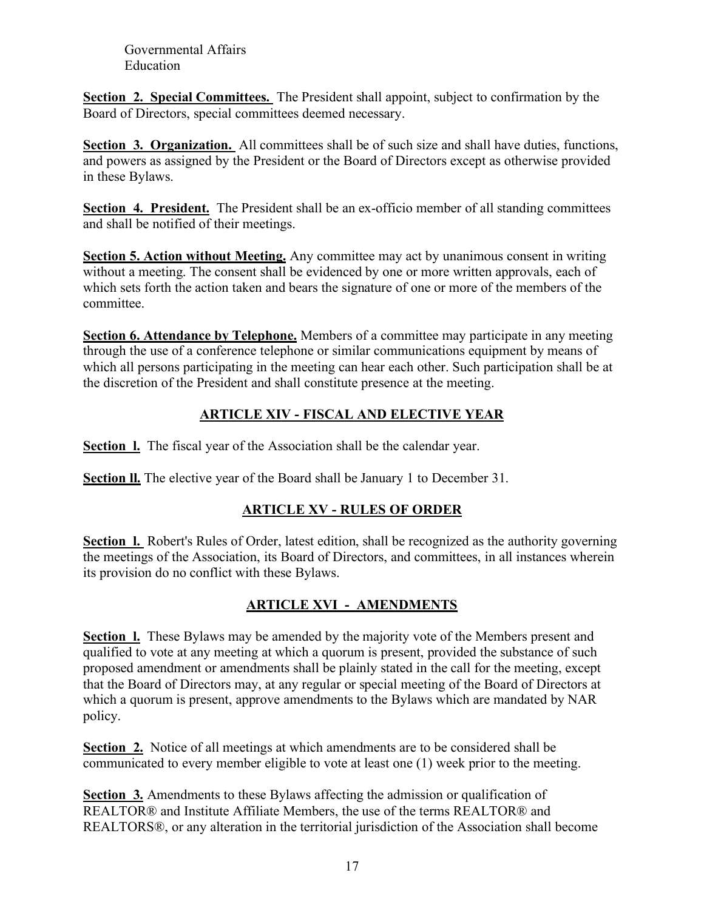Governmental Affairs Education

**Section 2. Special Committees.** The President shall appoint, subject to confirmation by the Board of Directors, special committees deemed necessary.

**Section 3. Organization.** All committees shall be of such size and shall have duties, functions, and powers as assigned  $\overline{by}$  the President or the Board of Directors except as otherwise provided in these Bylaws.

**Section 4. President.** The President shall be an ex-officio member of all standing committees and shall be notified of their meetings.

**Section 5. Action without Meeting.** Any committee may act by unanimous consent in writing without a meeting. The consent shall be evidenced by one or more written approvals, each of which sets forth the action taken and bears the signature of one or more of the members of the committee.

**Section 6. Attendance by Telephone.** Members of a committee may participate in any meeting through the use of a conference telephone or similar communications equipment by means of which all persons participating in the meeting can hear each other. Such participation shall be at the discretion of the President and shall constitute presence at the meeting.

# **ARTICLE XIV - FISCAL AND ELECTIVE YEAR**

**Section l.** The fiscal year of the Association shall be the calendar year.

**Section ll.** The elective year of the Board shall be January 1 to December 31.

## **ARTICLE XV - RULES OF ORDER**

**Section 1.** Robert's Rules of Order, latest edition, shall be recognized as the authority governing the meetings of the Association, its Board of Directors, and committees, in all instances wherein its provision do no conflict with these Bylaws.

## **ARTICLE XVI - AMENDMENTS**

**Section 1.** These Bylaws may be amended by the majority vote of the Members present and qualified to vote at any meeting at which a quorum is present, provided the substance of such proposed amendment or amendments shall be plainly stated in the call for the meeting, except that the Board of Directors may, at any regular or special meeting of the Board of Directors at which a quorum is present, approve amendments to the Bylaws which are mandated by NAR policy.

**Section 2.** Notice of all meetings at which amendments are to be considered shall be communicated to every member eligible to vote at least one (1) week prior to the meeting.

**Section 3.** Amendments to these Bylaws affecting the admission or qualification of REALTOR® and Institute Affiliate Members, the use of the terms REALTOR® and REALTORS®, or any alteration in the territorial jurisdiction of the Association shall become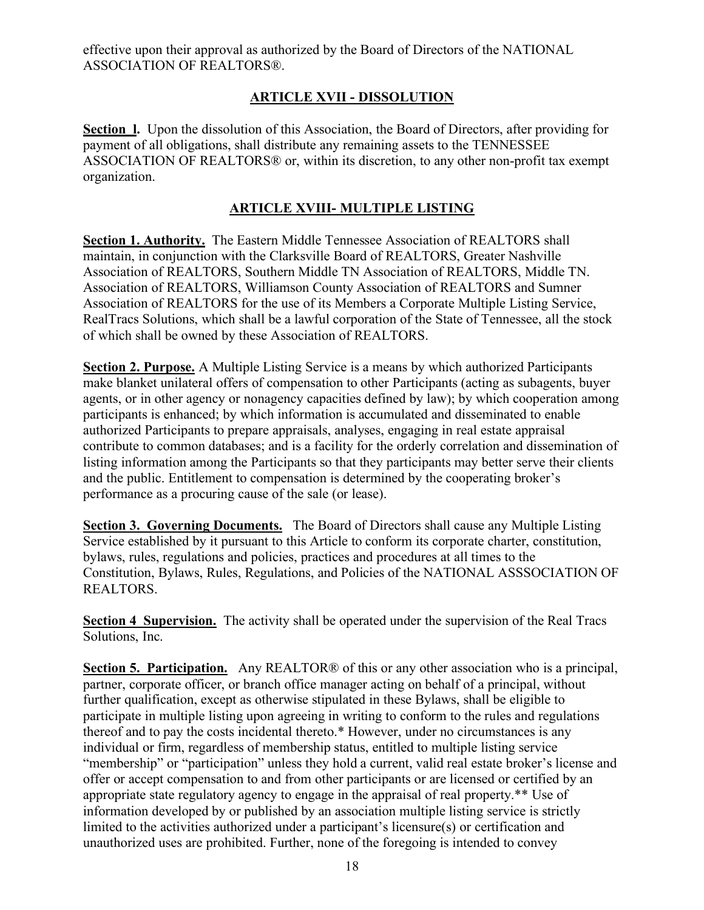effective upon their approval as authorized by the Board of Directors of the NATIONAL ASSOCIATION OF REALTORS®.

### **ARTICLE XVII - DISSOLUTION**

**Section l.** Upon the dissolution of this Association, the Board of Directors, after providing for payment of all obligations, shall distribute any remaining assets to the TENNESSEE ASSOCIATION OF REALTORS® or, within its discretion, to any other non-profit tax exempt organization.

### **ARTICLE XVIII- MULTIPLE LISTING**

**Section 1. Authority.** The Eastern Middle Tennessee Association of REALTORS shall maintain, in conjunction with the Clarksville Board of REALTORS, Greater Nashville Association of REALTORS, Southern Middle TN Association of REALTORS, Middle TN. Association of REALTORS, Williamson County Association of REALTORS and Sumner Association of REALTORS for the use of its Members a Corporate Multiple Listing Service, RealTracs Solutions, which shall be a lawful corporation of the State of Tennessee, all the stock of which shall be owned by these Association of REALTORS.

**Section 2. Purpose.** A Multiple Listing Service is a means by which authorized Participants make blanket unilateral offers of compensation to other Participants (acting as subagents, buyer agents, or in other agency or nonagency capacities defined by law); by which cooperation among participants is enhanced; by which information is accumulated and disseminated to enable authorized Participants to prepare appraisals, analyses, engaging in real estate appraisal contribute to common databases; and is a facility for the orderly correlation and dissemination of listing information among the Participants so that they participants may better serve their clients and the public. Entitlement to compensation is determined by the cooperating broker's performance as a procuring cause of the sale (or lease).

**Section 3. Governing Documents.** The Board of Directors shall cause any Multiple Listing Service established by it pursuant to this Article to conform its corporate charter, constitution, bylaws, rules, regulations and policies, practices and procedures at all times to the Constitution, Bylaws, Rules, Regulations, and Policies of the NATIONAL ASSSOCIATION OF REALTORS.

**Section 4 Supervision.** The activity shall be operated under the supervision of the Real Tracs Solutions, Inc.

**Section 5. Participation.** Any REALTOR® of this or any other association who is a principal, partner, corporate officer, or branch office manager acting on behalf of a principal, without further qualification, except as otherwise stipulated in these Bylaws, shall be eligible to participate in multiple listing upon agreeing in writing to conform to the rules and regulations thereof and to pay the costs incidental thereto.\* However, under no circumstances is any individual or firm, regardless of membership status, entitled to multiple listing service "membership" or "participation" unless they hold a current, valid real estate broker's license and offer or accept compensation to and from other participants or are licensed or certified by an appropriate state regulatory agency to engage in the appraisal of real property.\*\* Use of information developed by or published by an association multiple listing service is strictly limited to the activities authorized under a participant's licensure(s) or certification and unauthorized uses are prohibited. Further, none of the foregoing is intended to convey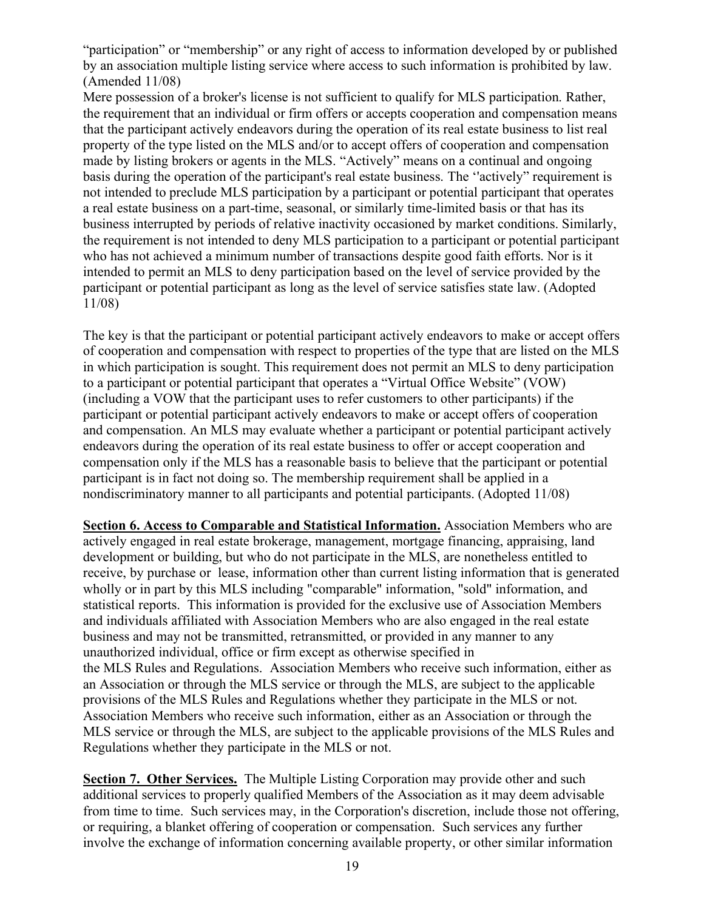"participation" or "membership" or any right of access to information developed by or published by an association multiple listing service where access to such information is prohibited by law. (Amended 11/08)

Mere possession of a broker's license is not sufficient to qualify for MLS participation. Rather, the requirement that an individual or firm offers or accepts cooperation and compensation means that the participant actively endeavors during the operation of its real estate business to list real property of the type listed on the MLS and/or to accept offers of cooperation and compensation made by listing brokers or agents in the MLS. "Actively" means on a continual and ongoing basis during the operation of the participant's real estate business. The ''actively" requirement is not intended to preclude MLS participation by a participant or potential participant that operates a real estate business on a part-time, seasonal, or similarly time-limited basis or that has its business interrupted by periods of relative inactivity occasioned by market conditions. Similarly, the requirement is not intended to deny MLS participation to a participant or potential participant who has not achieved a minimum number of transactions despite good faith efforts. Nor is it intended to permit an MLS to deny participation based on the level of service provided by the participant or potential participant as long as the level of service satisfies state law. (Adopted 11/08)

The key is that the participant or potential participant actively endeavors to make or accept offers of cooperation and compensation with respect to properties of the type that are listed on the MLS in which participation is sought. This requirement does not permit an MLS to deny participation to a participant or potential participant that operates a "Virtual Office Website" (VOW) (including a VOW that the participant uses to refer customers to other participants) if the participant or potential participant actively endeavors to make or accept offers of cooperation and compensation. An MLS may evaluate whether a participant or potential participant actively endeavors during the operation of its real estate business to offer or accept cooperation and compensation only if the MLS has a reasonable basis to believe that the participant or potential participant is in fact not doing so. The membership requirement shall be applied in a nondiscriminatory manner to all participants and potential participants. (Adopted 11/08)

**Section 6. Access to Comparable and Statistical Information.** Association Members who are actively engaged in real estate brokerage, management, mortgage financing, appraising, land development or building, but who do not participate in the MLS, are nonetheless entitled to receive, by purchase or lease, information other than current listing information that is generated wholly or in part by this MLS including "comparable" information, "sold" information, and statistical reports. This information is provided for the exclusive use of Association Members and individuals affiliated with Association Members who are also engaged in the real estate business and may not be transmitted, retransmitted, or provided in any manner to any unauthorized individual, office or firm except as otherwise specified in the MLS Rules and Regulations. Association Members who receive such information, either as an Association or through the MLS service or through the MLS, are subject to the applicable provisions of the MLS Rules and Regulations whether they participate in the MLS or not. Association Members who receive such information, either as an Association or through the MLS service or through the MLS, are subject to the applicable provisions of the MLS Rules and Regulations whether they participate in the MLS or not.

**Section 7. Other Services.** The Multiple Listing Corporation may provide other and such additional services to properly qualified Members of the Association as it may deem advisable from time to time. Such services may, in the Corporation's discretion, include those not offering, or requiring, a blanket offering of cooperation or compensation. Such services any further involve the exchange of information concerning available property, or other similar information